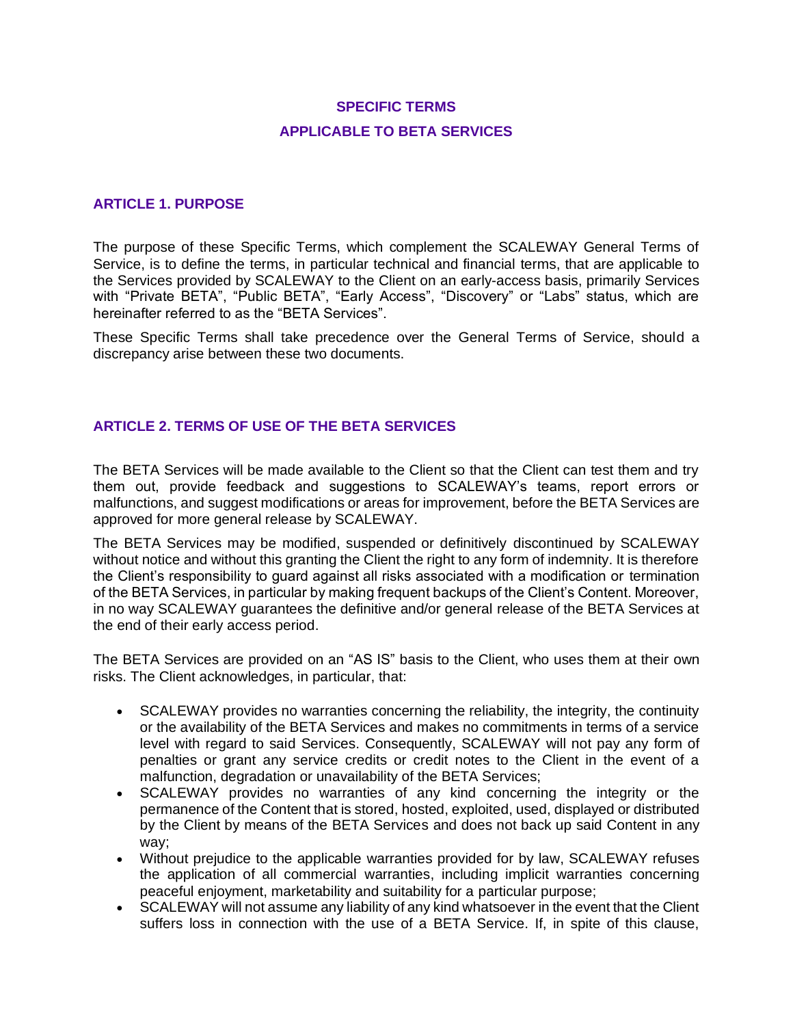# **SPECIFIC TERMS APPLICABLE TO BETA SERVICES**

### **ARTICLE 1. PURPOSE**

The purpose of these Specific Terms, which complement the SCALEWAY General Terms of Service, is to define the terms, in particular technical and financial terms, that are applicable to the Services provided by SCALEWAY to the Client on an early-access basis, primarily Services with "Private BETA", "Public BETA", "Early Access", "Discovery" or "Labs" status, which are hereinafter referred to as the "BETA Services".

These Specific Terms shall take precedence over the General Terms of Service, should a discrepancy arise between these two documents.

### **ARTICLE 2. TERMS OF USE OF THE BETA SERVICES**

The BETA Services will be made available to the Client so that the Client can test them and try them out, provide feedback and suggestions to SCALEWAY's teams, report errors or malfunctions, and suggest modifications or areas for improvement, before the BETA Services are approved for more general release by SCALEWAY.

The BETA Services may be modified, suspended or definitively discontinued by SCALEWAY without notice and without this granting the Client the right to any form of indemnity. It is therefore the Client's responsibility to guard against all risks associated with a modification or termination of the BETA Services, in particular by making frequent backups of the Client's Content. Moreover, in no way SCALEWAY guarantees the definitive and/or general release of the BETA Services at the end of their early access period.

The BETA Services are provided on an "AS IS" basis to the Client, who uses them at their own risks. The Client acknowledges, in particular, that:

- SCALEWAY provides no warranties concerning the reliability, the integrity, the continuity or the availability of the BETA Services and makes no commitments in terms of a service level with regard to said Services. Consequently, SCALEWAY will not pay any form of penalties or grant any service credits or credit notes to the Client in the event of a malfunction, degradation or unavailability of the BETA Services;
- SCALEWAY provides no warranties of any kind concerning the integrity or the permanence of the Content that is stored, hosted, exploited, used, displayed or distributed by the Client by means of the BETA Services and does not back up said Content in any way;
- Without prejudice to the applicable warranties provided for by law, SCALEWAY refuses the application of all commercial warranties, including implicit warranties concerning peaceful enjoyment, marketability and suitability for a particular purpose;
- SCALEWAY will not assume any liability of any kind whatsoever in the event that the Client suffers loss in connection with the use of a BETA Service. If, in spite of this clause,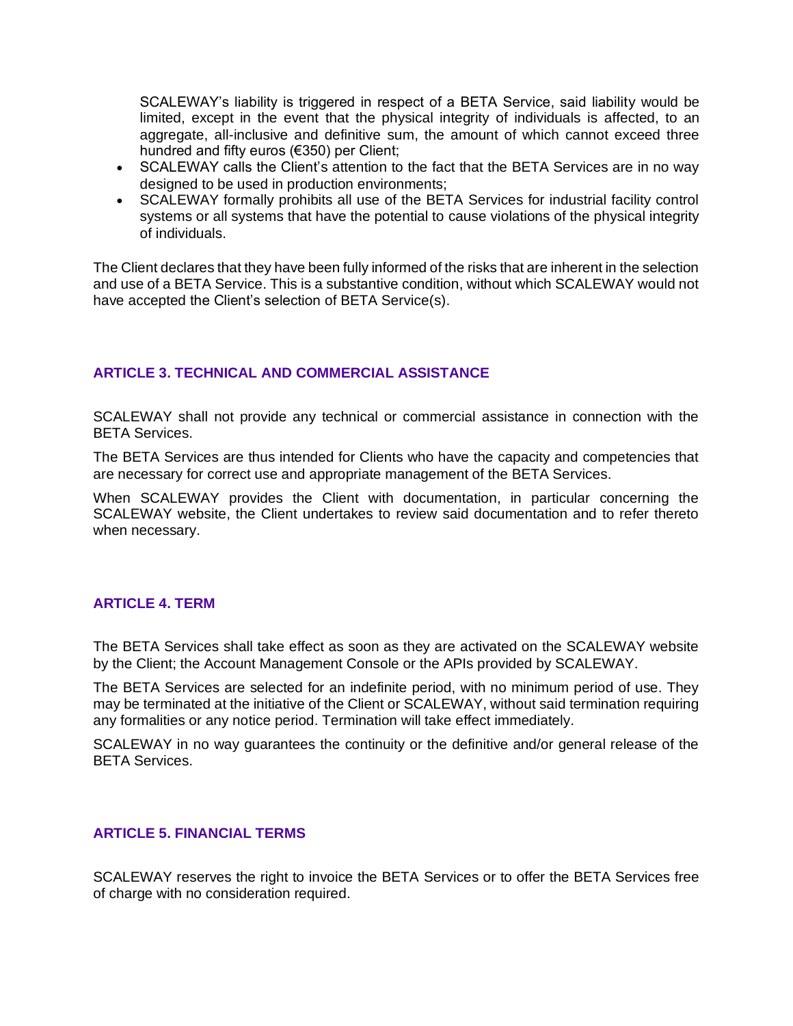SCALEWAY's liability is triggered in respect of a BETA Service, said liability would be limited, except in the event that the physical integrity of individuals is affected, to an aggregate, all-inclusive and definitive sum, the amount of which cannot exceed three hundred and fifty euros (€350) per Client;

- SCALEWAY calls the Client's attention to the fact that the BETA Services are in no way designed to be used in production environments;
- SCALEWAY formally prohibits all use of the BETA Services for industrial facility control systems or all systems that have the potential to cause violations of the physical integrity of individuals.

The Client declares that they have been fully informed of the risks that are inherent in the selection and use of a BETA Service. This is a substantive condition, without which SCALEWAY would not have accepted the Client's selection of BETA Service(s).

# **ARTICLE 3. TECHNICAL AND COMMERCIAL ASSISTANCE**

SCALEWAY shall not provide any technical or commercial assistance in connection with the BETA Services.

The BETA Services are thus intended for Clients who have the capacity and competencies that are necessary for correct use and appropriate management of the BETA Services.

When SCALEWAY provides the Client with documentation, in particular concerning the SCALEWAY website, the Client undertakes to review said documentation and to refer thereto when necessary.

## **ARTICLE 4. TERM**

The BETA Services shall take effect as soon as they are activated on the SCALEWAY website by the Client; the Account Management Console or the APIs provided by SCALEWAY.

The BETA Services are selected for an indefinite period, with no minimum period of use. They may be terminated at the initiative of the Client or SCALEWAY, without said termination requiring any formalities or any notice period. Termination will take effect immediately.

SCALEWAY in no way guarantees the continuity or the definitive and/or general release of the BETA Services.

## **ARTICLE 5. FINANCIAL TERMS**

SCALEWAY reserves the right to invoice the BETA Services or to offer the BETA Services free of charge with no consideration required.